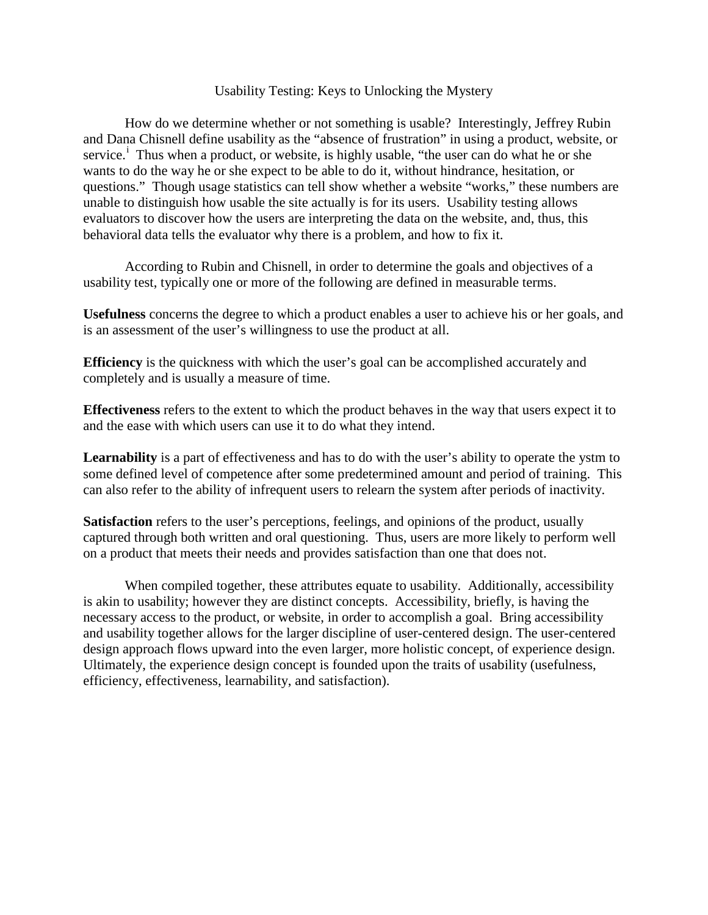## Usability Testing: Keys to Unlocking the Mystery

How do we determine whether or not something is usable? Interestingly, Jeffrey Rubin and Dana Chisnell define usability as the "absence of frustration" in using a product, website, or serv[i](#page-2-0)ce.<sup>i</sup> Thus when a product, or website, is highly usable, "the user can do what he or she wants to do the way he or she expect to be able to do it, without hindrance, hesitation, or questions." Though usage statistics can tell show whether a website "works," these numbers are unable to distinguish how usable the site actually is for its users. Usability testing allows evaluators to discover how the users are interpreting the data on the website, and, thus, this behavioral data tells the evaluator why there is a problem, and how to fix it.

According to Rubin and Chisnell, in order to determine the goals and objectives of a usability test, typically one or more of the following are defined in measurable terms.

**Usefulness** concerns the degree to which a product enables a user to achieve his or her goals, and is an assessment of the user's willingness to use the product at all.

**Efficiency** is the quickness with which the user's goal can be accomplished accurately and completely and is usually a measure of time.

**Effectiveness** refers to the extent to which the product behaves in the way that users expect it to and the ease with which users can use it to do what they intend.

Learnability is a part of effectiveness and has to do with the user's ability to operate the ystm to some defined level of competence after some predetermined amount and period of training. This can also refer to the ability of infrequent users to relearn the system after periods of inactivity.

**Satisfaction** refers to the user's perceptions, feelings, and opinions of the product, usually captured through both written and oral questioning. Thus, users are more likely to perform well on a product that meets their needs and provides satisfaction than one that does not.

When compiled together, these attributes equate to usability. Additionally, accessibility is akin to usability; however they are distinct concepts. Accessibility, briefly, is having the necessary access to the product, or website, in order to accomplish a goal. Bring accessibility and usability together allows for the larger discipline of user-centered design. The user-centered design approach flows upward into the even larger, more holistic concept, of experience design. Ultimately, the experience design concept is founded upon the traits of usability (usefulness, efficiency, effectiveness, learnability, and satisfaction).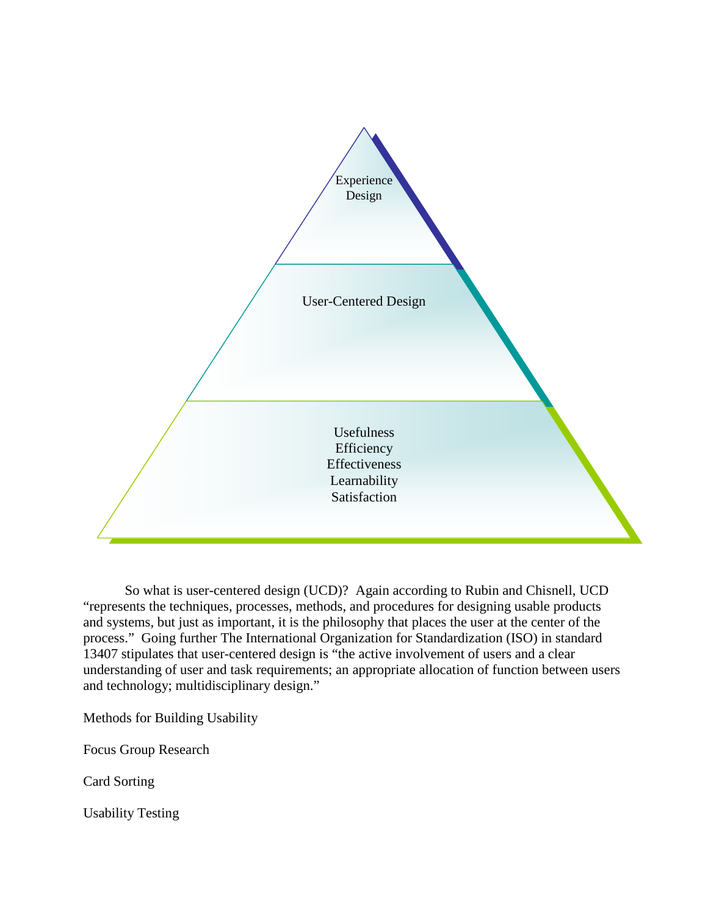

So what is user-centered design (UCD)? Again according to Rubin and Chisnell, UCD "represents the techniques, processes, methods, and procedures for designing usable products and systems, but just as important, it is the philosophy that places the user at the center of the process." Going further The International Organization for Standardization (ISO) in standard 13407 stipulates that user-centered design is "the active involvement of users and a clear understanding of user and task requirements; an appropriate allocation of function between users and technology; multidisciplinary design."

Methods for Building Usability

Focus Group Research

Card Sorting

Usability Testing